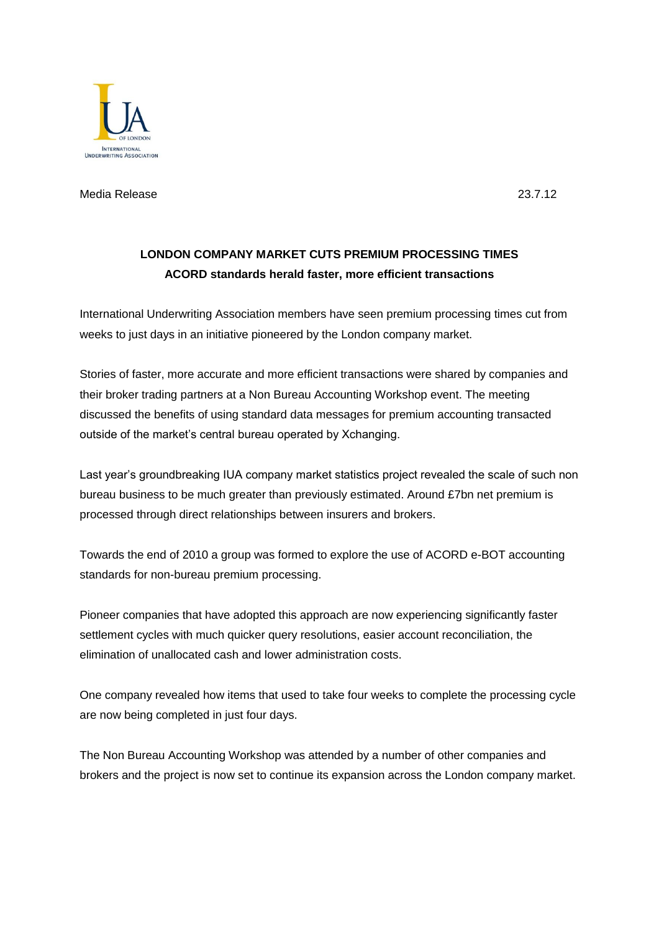

Media Release 23.7.12

## **LONDON COMPANY MARKET CUTS PREMIUM PROCESSING TIMES ACORD standards herald faster, more efficient transactions**

International Underwriting Association members have seen premium processing times cut from weeks to just days in an initiative pioneered by the London company market.

Stories of faster, more accurate and more efficient transactions were shared by companies and their broker trading partners at a Non Bureau Accounting Workshop event. The meeting discussed the benefits of using standard data messages for premium accounting transacted outside of the market's central bureau operated by Xchanging.

Last year's groundbreaking IUA company market statistics project revealed the scale of such non bureau business to be much greater than previously estimated. Around £7bn net premium is processed through direct relationships between insurers and brokers.

Towards the end of 2010 a group was formed to explore the use of ACORD e-BOT accounting standards for non-bureau premium processing.

Pioneer companies that have adopted this approach are now experiencing significantly faster settlement cycles with much quicker query resolutions, easier account reconciliation, the elimination of unallocated cash and lower administration costs.

One company revealed how items that used to take four weeks to complete the processing cycle are now being completed in just four days.

The Non Bureau Accounting Workshop was attended by a number of other companies and brokers and the project is now set to continue its expansion across the London company market.